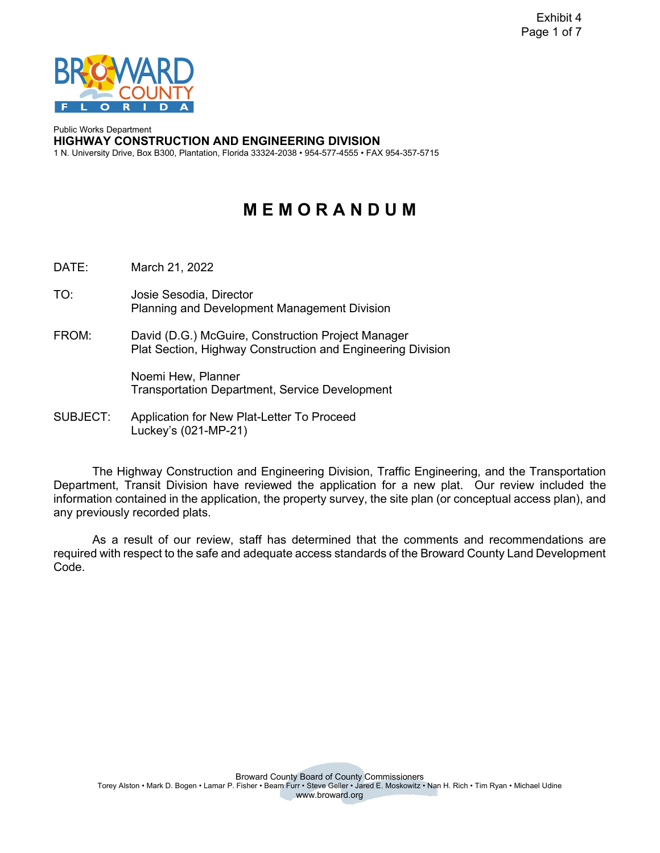

Public Works Department **HIGHWAY CONSTRUCTION AND ENGINEERING DIVISION**  1 N. University Drive, Box B300, Plantation, Florida 33324-2038 • 954-577-4555 • FAX 954-357-5715

# **M E M O R A N D U M**

DATE: March 21, 2022

- TO: Josie Sesodia, Director Planning and Development Management Division
- FROM: David (D.G.) McGuire, Construction Project Manager Plat Section, Highway Construction and Engineering Division

Noemi Hew, Planner Transportation Department, Service Development

SUBJECT: Application for New Plat-Letter To Proceed Luckey's (021-MP-21)

The Highway Construction and Engineering Division, Traffic Engineering, and the Transportation Department, Transit Division have reviewed the application for a new plat. Our review included the information contained in the application, the property survey, the site plan (or conceptual access plan), and any previously recorded plats.

As a result of our review, staff has determined that the comments and recommendations are required with respect to the safe and adequate access standards of the Broward County Land Development Code.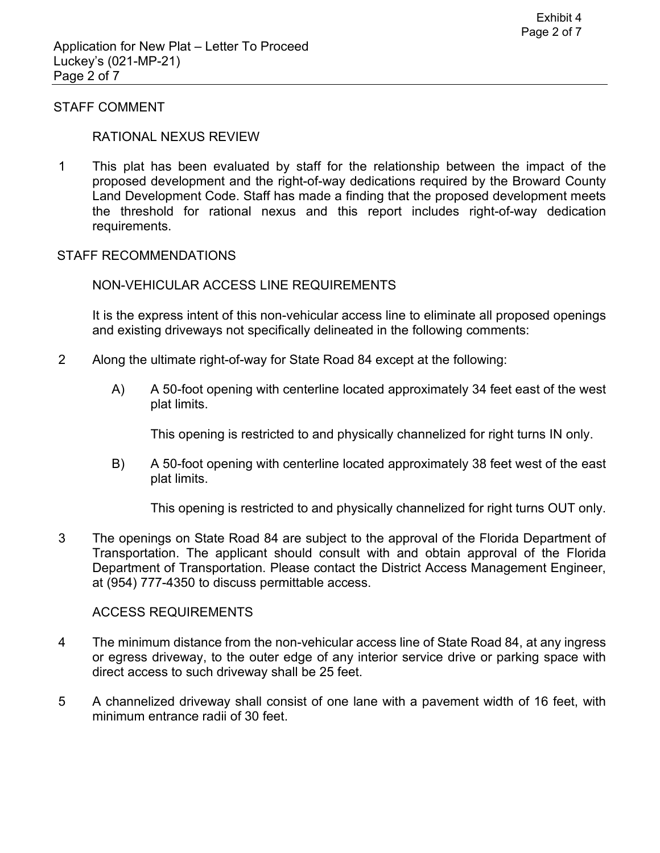#### STAFF COMMENT

#### RATIONAL NEXUS REVIEW

1 This plat has been evaluated by staff for the relationship between the impact of the proposed development and the right-of-way dedications required by the Broward County Land Development Code. Staff has made a finding that the proposed development meets the threshold for rational nexus and this report includes right-of-way dedication requirements.

#### STAFF RECOMMENDATIONS

#### NON-VEHICULAR ACCESS LINE REQUIREMENTS

It is the express intent of this non-vehicular access line to eliminate all proposed openings and existing driveways not specifically delineated in the following comments:

- 2 Along the ultimate right-of-way for State Road 84 except at the following:
	- A) A 50-foot opening with centerline located approximately 34 feet east of the west plat limits.

This opening is restricted to and physically channelized for right turns IN only.

B) A 50-foot opening with centerline located approximately 38 feet west of the east plat limits.

This opening is restricted to and physically channelized for right turns OUT only.

3 The openings on State Road 84 are subject to the approval of the Florida Department of Transportation. The applicant should consult with and obtain approval of the Florida Department of Transportation. Please contact the District Access Management Engineer, at (954) 777-4350 to discuss permittable access.

#### ACCESS REQUIREMENTS

- 4 The minimum distance from the non-vehicular access line of State Road 84, at any ingress or egress driveway, to the outer edge of any interior service drive or parking space with direct access to such driveway shall be 25 feet.
- 5 A channelized driveway shall consist of one lane with a pavement width of 16 feet, with minimum entrance radii of 30 feet.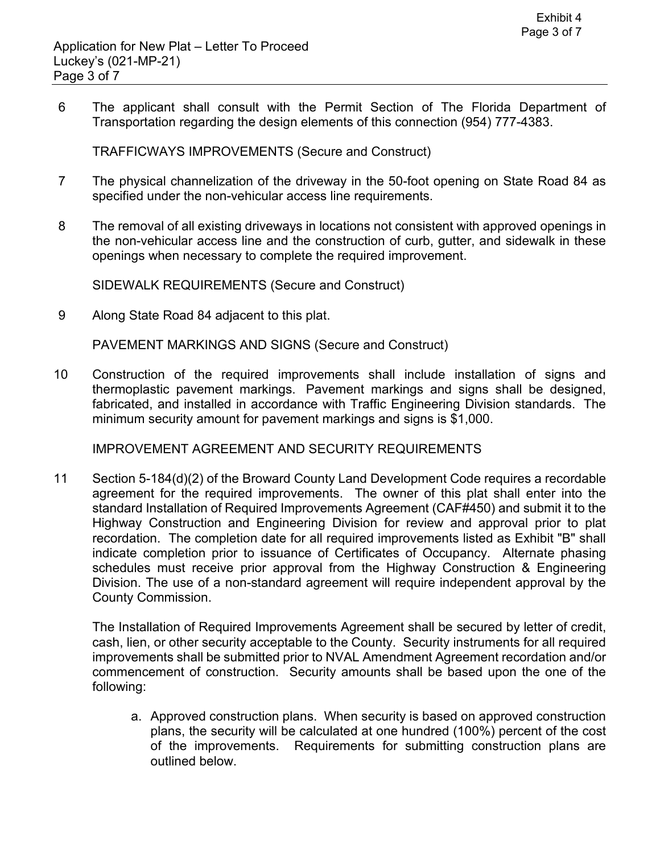6 The applicant shall consult with the Permit Section of The Florida Department of Transportation regarding the design elements of this connection (954) 777-4383.

TRAFFICWAYS IMPROVEMENTS (Secure and Construct)

- 7 The physical channelization of the driveway in the 50-foot opening on State Road 84 as specified under the non-vehicular access line requirements.
- 8 The removal of all existing driveways in locations not consistent with approved openings in the non-vehicular access line and the construction of curb, gutter, and sidewalk in these openings when necessary to complete the required improvement.

SIDEWALK REQUIREMENTS (Secure and Construct)

9 Along State Road 84 adjacent to this plat.

PAVEMENT MARKINGS AND SIGNS (Secure and Construct)

10 Construction of the required improvements shall include installation of signs and thermoplastic pavement markings. Pavement markings and signs shall be designed, fabricated, and installed in accordance with Traffic Engineering Division standards. The minimum security amount for pavement markings and signs is \$1,000.

IMPROVEMENT AGREEMENT AND SECURITY REQUIREMENTS

11 Section 5-184(d)(2) of the Broward County Land Development Code requires a recordable agreement for the required improvements. The owner of this plat shall enter into the standard Installation of Required Improvements Agreement (CAF#450) and submit it to the Highway Construction and Engineering Division for review and approval prior to plat recordation. The completion date for all required improvements listed as Exhibit "B" shall indicate completion prior to issuance of Certificates of Occupancy. Alternate phasing schedules must receive prior approval from the Highway Construction & Engineering Division. The use of a non-standard agreement will require independent approval by the County Commission.

The Installation of Required Improvements Agreement shall be secured by letter of credit, cash, lien, or other security acceptable to the County. Security instruments for all required improvements shall be submitted prior to NVAL Amendment Agreement recordation and/or commencement of construction. Security amounts shall be based upon the one of the following:

a. Approved construction plans. When security is based on approved construction plans, the security will be calculated at one hundred (100%) percent of the cost of the improvements. Requirements for submitting construction plans are outlined below.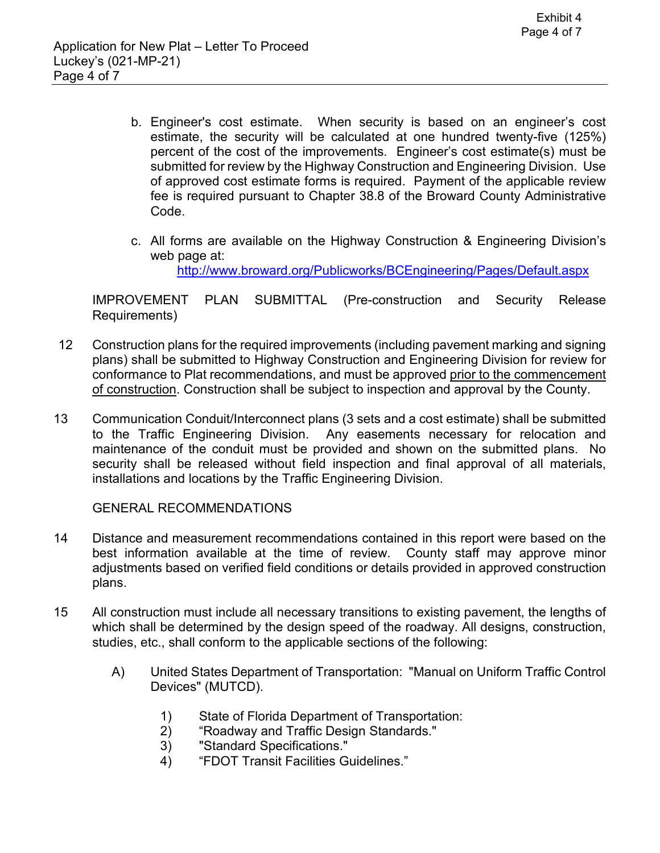- b. Engineer's cost estimate. When security is based on an engineer's cost estimate, the security will be calculated at one hundred twenty-five (125%) percent of the cost of the improvements. Engineer's cost estimate(s) must be submitted for review by the Highway Construction and Engineering Division. Use of approved cost estimate forms is required. Payment of the applicable review fee is required pursuant to Chapter 38.8 of the Broward County Administrative Code.
- c. All forms are available on the Highway Construction & Engineering Division's web page at:

<http://www.broward.org/Publicworks/BCEngineering/Pages/Default.aspx>

IMPROVEMENT PLAN SUBMITTAL (Pre-construction and Security Release Requirements)

- 12 Construction plans for the required improvements (including pavement marking and signing plans) shall be submitted to Highway Construction and Engineering Division for review for conformance to Plat recommendations, and must be approved prior to the commencement of construction. Construction shall be subject to inspection and approval by the County.
- 13 Communication Conduit/Interconnect plans (3 sets and a cost estimate) shall be submitted to the Traffic Engineering Division. Any easements necessary for relocation and maintenance of the conduit must be provided and shown on the submitted plans. No security shall be released without field inspection and final approval of all materials, installations and locations by the Traffic Engineering Division.

GENERAL RECOMMENDATIONS

- 14 Distance and measurement recommendations contained in this report were based on the best information available at the time of review. County staff may approve minor adjustments based on verified field conditions or details provided in approved construction plans.
- 15 All construction must include all necessary transitions to existing pavement, the lengths of which shall be determined by the design speed of the roadway. All designs, construction, studies, etc., shall conform to the applicable sections of the following:
	- A) United States Department of Transportation: "Manual on Uniform Traffic Control Devices" (MUTCD).
		- 1) State of Florida Department of Transportation:
		- 2) "Roadway and Traffic Design Standards."
		- 3) "Standard Specifications."
		- 4) "FDOT Transit Facilities Guidelines."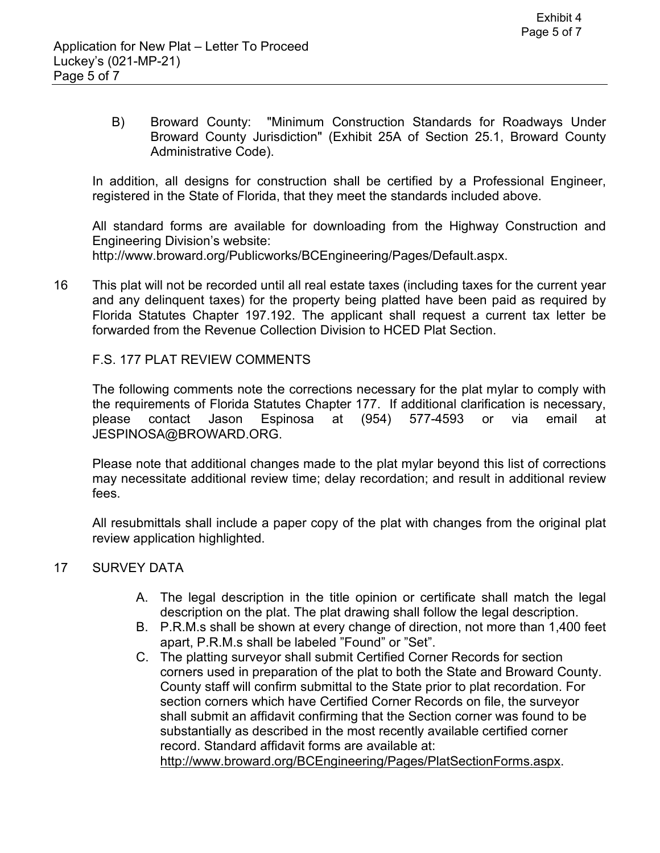B) Broward County: "Minimum Construction Standards for Roadways Under Broward County Jurisdiction" (Exhibit 25A of Section 25.1, Broward County Administrative Code).

In addition, all designs for construction shall be certified by a Professional Engineer, registered in the State of Florida, that they meet the standards included above.

All standard forms are available for downloading from the Highway Construction and Engineering Division's website: <http://www.broward.org/Publicworks/BCEngineering/Pages/Default.aspx>.

16 This plat will not be recorded until all real estate taxes (including taxes for the current year and any delinquent taxes) for the property being platted have been paid as required by Florida Statutes Chapter 197.192. The applicant shall request a current tax letter be forwarded from the Revenue Collection Division to HCED Plat Section.

## F.S. 177 PLAT REVIEW COMMENTS

The following comments note the corrections necessary for the plat mylar to comply with the requirements of Florida Statutes Chapter 177. If additional clarification is necessary, please contact Jason Espinosa at (954) 577-4593 or via email at [JESPINOSA@BROWARD.ORG.](mailto:JESPINOSA@BROWARD.ORG)

Please note that additional changes made to the plat mylar beyond this list of corrections may necessitate additional review time; delay recordation; and result in additional review fees.

All resubmittals shall include a paper copy of the plat with changes from the original plat review application highlighted.

## 17 SURVEY DATA

- A. The legal description in the title opinion or certificate shall match the legal description on the plat. The plat drawing shall follow the legal description.
- B. P.R.M.s shall be shown at every change of direction, not more than 1,400 feet apart, P.R.M.s shall be labeled "Found" or "Set".
- C. The platting surveyor shall submit Certified Corner Records for section corners used in preparation of the plat to both the State and Broward County. County staff will confirm submittal to the State prior to plat recordation. For section corners which have Certified Corner Records on file, the surveyor shall submit an affidavit confirming that the Section corner was found to be substantially as described in the most recently available certified corner record. Standard affidavit forms are available at:

<http://www.broward.org/BCEngineering/Pages/PlatSectionForms.aspx>.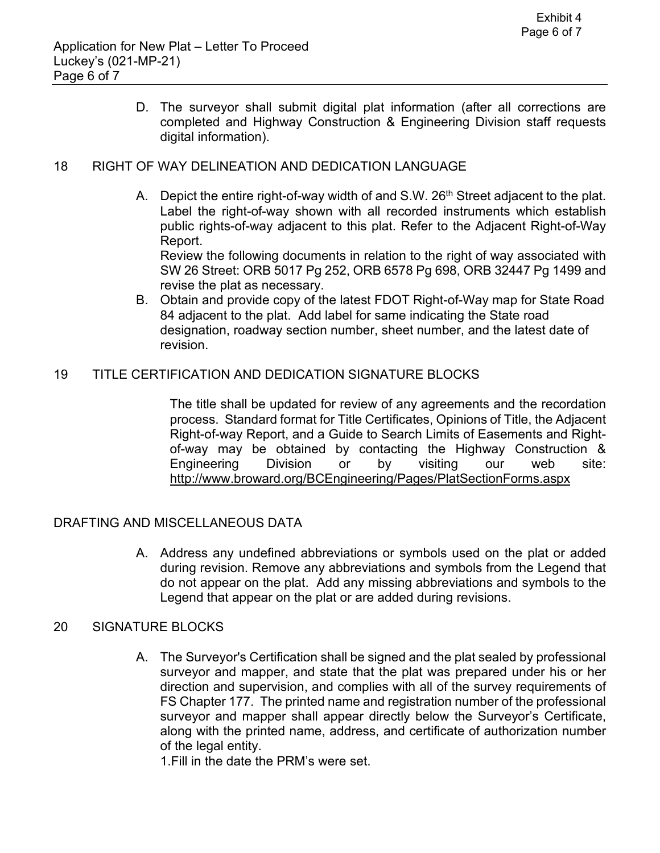D. The surveyor shall submit digital plat information (after all corrections are completed and Highway Construction & Engineering Division staff requests digital information).

## 18 RIGHT OF WAY DELINEATION AND DEDICATION LANGUAGE

A. Depict the entire right-of-way width of and  $S.W. 26<sup>th</sup>$  Street adjacent to the plat. Label the right-of-way shown with all recorded instruments which establish public rights-of-way adjacent to this plat. Refer to the Adjacent Right-of-Way Report.

Review the following documents in relation to the right of way associated with SW 26 Street: ORB 5017 Pg 252, ORB 6578 Pg 698, ORB 32447 Pg 1499 and revise the plat as necessary.

B. Obtain and provide copy of the latest FDOT Right-of-Way map for State Road 84 adjacent to the plat. Add label for same indicating the State road designation, roadway section number, sheet number, and the latest date of revision.

## 19 TITLE CERTIFICATION AND DEDICATION SIGNATURE BLOCKS

The title shall be updated for review of any agreements and the recordation process. Standard format for Title Certificates, Opinions of Title, the Adjacent Right-of-way Report, and a Guide to Search Limits of Easements and Rightof-way may be obtained by contacting the Highway Construction & Engineering Division or by visiting our web site: <http://www.broward.org/BCEngineering/Pages/PlatSectionForms.aspx>

## DRAFTING AND MISCELLANEOUS DATA

A. Address any undefined abbreviations or symbols used on the plat or added during revision. Remove any abbreviations and symbols from the Legend that do not appear on the plat. Add any missing abbreviations and symbols to the Legend that appear on the plat or are added during revisions.

## 20 SIGNATURE BLOCKS

A. The Surveyor's Certification shall be signed and the plat sealed by professional surveyor and mapper, and state that the plat was prepared under his or her direction and supervision, and complies with all of the survey requirements of FS Chapter 177. The printed name and registration number of the professional surveyor and mapper shall appear directly below the Surveyor's Certificate, along with the printed name, address, and certificate of authorization number of the legal entity.

1.Fill in the date the PRM's were set.